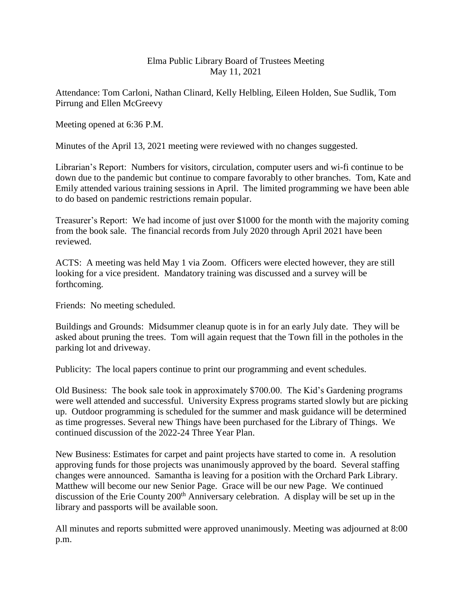## Elma Public Library Board of Trustees Meeting May 11, 2021

Attendance: Tom Carloni, Nathan Clinard, Kelly Helbling, Eileen Holden, Sue Sudlik, Tom Pirrung and Ellen McGreevy

Meeting opened at 6:36 P.M.

Minutes of the April 13, 2021 meeting were reviewed with no changes suggested.

Librarian's Report: Numbers for visitors, circulation, computer users and wi-fi continue to be down due to the pandemic but continue to compare favorably to other branches. Tom, Kate and Emily attended various training sessions in April. The limited programming we have been able to do based on pandemic restrictions remain popular.

Treasurer's Report: We had income of just over \$1000 for the month with the majority coming from the book sale. The financial records from July 2020 through April 2021 have been reviewed.

ACTS: A meeting was held May 1 via Zoom. Officers were elected however, they are still looking for a vice president. Mandatory training was discussed and a survey will be forthcoming.

Friends: No meeting scheduled.

Buildings and Grounds: Midsummer cleanup quote is in for an early July date. They will be asked about pruning the trees. Tom will again request that the Town fill in the potholes in the parking lot and driveway.

Publicity: The local papers continue to print our programming and event schedules.

Old Business: The book sale took in approximately \$700.00. The Kid's Gardening programs were well attended and successful. University Express programs started slowly but are picking up. Outdoor programming is scheduled for the summer and mask guidance will be determined as time progresses. Several new Things have been purchased for the Library of Things. We continued discussion of the 2022-24 Three Year Plan.

New Business: Estimates for carpet and paint projects have started to come in. A resolution approving funds for those projects was unanimously approved by the board. Several staffing changes were announced. Samantha is leaving for a position with the Orchard Park Library. Matthew will become our new Senior Page. Grace will be our new Page. We continued discussion of the Erie County 200<sup>th</sup> Anniversary celebration. A display will be set up in the library and passports will be available soon.

All minutes and reports submitted were approved unanimously. Meeting was adjourned at 8:00 p.m.